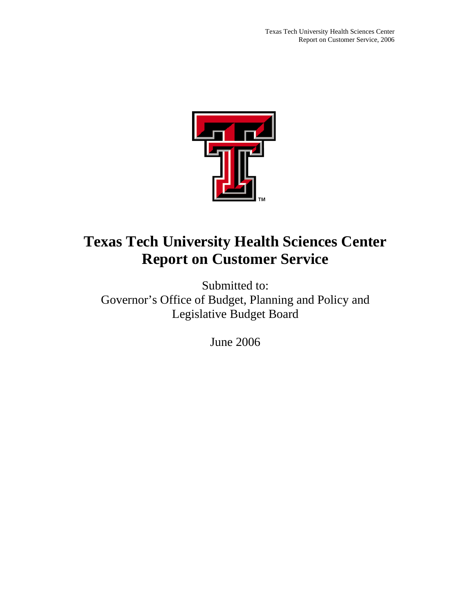

Submitted to: Governor's Office of Budget, Planning and Policy and Legislative Budget Board

June 2006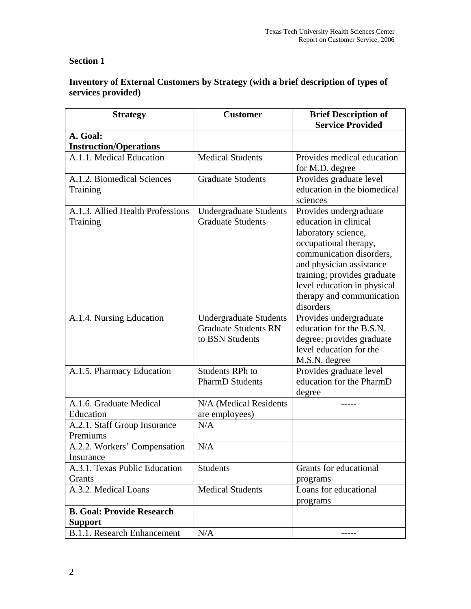# **Section 1**

# **Inventory of External Customers by Strategy (with a brief description of types of services provided)**

| <b>Strategy</b>                              | <b>Customer</b>                                                                 | <b>Brief Description of</b><br><b>Service Provided</b>                                                                                                                                                                                                          |
|----------------------------------------------|---------------------------------------------------------------------------------|-----------------------------------------------------------------------------------------------------------------------------------------------------------------------------------------------------------------------------------------------------------------|
| A. Goal:                                     |                                                                                 |                                                                                                                                                                                                                                                                 |
| <b>Instruction/Operations</b>                |                                                                                 |                                                                                                                                                                                                                                                                 |
| A.1.1. Medical Education                     | <b>Medical Students</b>                                                         | Provides medical education                                                                                                                                                                                                                                      |
|                                              |                                                                                 | for M.D. degree                                                                                                                                                                                                                                                 |
| A.1.2. Biomedical Sciences<br>Training       | <b>Graduate Students</b>                                                        | Provides graduate level<br>education in the biomedical<br>sciences                                                                                                                                                                                              |
| A.1.3. Allied Health Professions<br>Training | <b>Undergraduate Students</b><br><b>Graduate Students</b>                       | Provides undergraduate<br>education in clinical<br>laboratory science,<br>occupational therapy,<br>communication disorders,<br>and physician assistance<br>training; provides graduate<br>level education in physical<br>therapy and communication<br>disorders |
| A.1.4. Nursing Education                     | <b>Undergraduate Students</b><br><b>Graduate Students RN</b><br>to BSN Students | Provides undergraduate<br>education for the B.S.N.<br>degree; provides graduate<br>level education for the<br>M.S.N. degree                                                                                                                                     |
| A.1.5. Pharmacy Education                    | <b>Students RPh to</b><br><b>PharmD</b> Students                                | Provides graduate level<br>education for the PharmD<br>degree                                                                                                                                                                                                   |
| A.1.6. Graduate Medical<br>Education         | N/A (Medical Residents<br>are employees)                                        |                                                                                                                                                                                                                                                                 |
| A.2.1. Staff Group Insurance<br>Premiums     | N/A                                                                             |                                                                                                                                                                                                                                                                 |
| A.2.2. Workers' Compensation<br>Insurance    | N/A                                                                             |                                                                                                                                                                                                                                                                 |
| A.3.1. Texas Public Education<br>Grants      | <b>Students</b>                                                                 | Grants for educational<br>programs                                                                                                                                                                                                                              |
| A.3.2. Medical Loans                         | <b>Medical Students</b>                                                         | Loans for educational<br>programs                                                                                                                                                                                                                               |
| <b>B. Goal: Provide Research</b>             |                                                                                 |                                                                                                                                                                                                                                                                 |
| <b>Support</b>                               |                                                                                 |                                                                                                                                                                                                                                                                 |
| <b>B.1.1. Research Enhancement</b>           | N/A                                                                             |                                                                                                                                                                                                                                                                 |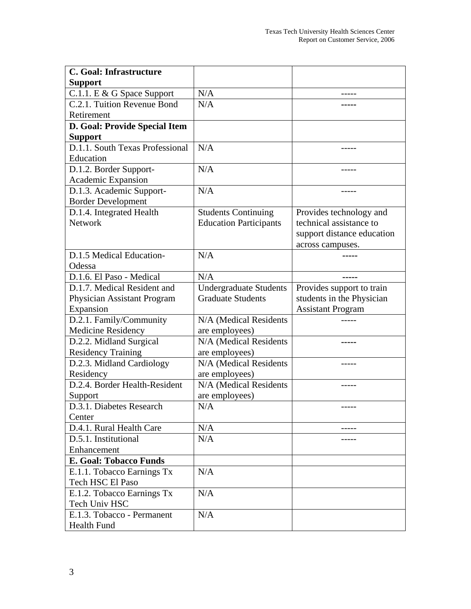| C. Goal: Infrastructure         |                               |                            |
|---------------------------------|-------------------------------|----------------------------|
| <b>Support</b>                  |                               |                            |
| C.1.1. E & G Space Support      | N/A                           |                            |
| C.2.1. Tuition Revenue Bond     | N/A                           |                            |
| Retirement                      |                               |                            |
| D. Goal: Provide Special Item   |                               |                            |
| <b>Support</b>                  |                               |                            |
| D.1.1. South Texas Professional | N/A                           |                            |
| Education                       |                               |                            |
| D.1.2. Border Support-          | N/A                           |                            |
| Academic Expansion              |                               |                            |
| D.1.3. Academic Support-        | N/A                           |                            |
| <b>Border Development</b>       |                               |                            |
| D.1.4. Integrated Health        | <b>Students Continuing</b>    | Provides technology and    |
| <b>Network</b>                  | <b>Education Participants</b> | technical assistance to    |
|                                 |                               | support distance education |
|                                 |                               | across campuses.           |
| D.1.5 Medical Education-        | N/A                           |                            |
| Odessa                          |                               |                            |
| D.1.6. El Paso - Medical        | N/A                           |                            |
| D.1.7. Medical Resident and     | <b>Undergraduate Students</b> | Provides support to train  |
| Physician Assistant Program     | <b>Graduate Students</b>      | students in the Physician  |
| Expansion                       |                               | <b>Assistant Program</b>   |
| D.2.1. Family/Community         | N/A (Medical Residents        |                            |
| <b>Medicine Residency</b>       | are employees)                |                            |
| D.2.2. Midland Surgical         | N/A (Medical Residents        |                            |
| <b>Residency Training</b>       | are employees)                |                            |
| D.2.3. Midland Cardiology       | N/A (Medical Residents        | -----                      |
| Residency                       | are employees)                |                            |
| D.2.4. Border Health-Resident   | N/A (Medical Residents        |                            |
| Support                         | are employees)                |                            |
| D.3.1. Diabetes Research        | N/A                           |                            |
| Center                          |                               |                            |
| D.4.1. Rural Health Care        | N/A                           |                            |
| D.5.1. Institutional            | N/A                           |                            |
| Enhancement                     |                               |                            |
| <b>E. Goal: Tobacco Funds</b>   |                               |                            |
| E.1.1. Tobacco Earnings Tx      | N/A                           |                            |
| Tech HSC El Paso                |                               |                            |
| E.1.2. Tobacco Earnings Tx      | N/A                           |                            |
| Tech Univ HSC                   |                               |                            |
| E.1.3. Tobacco - Permanent      | N/A                           |                            |
| Health Fund                     |                               |                            |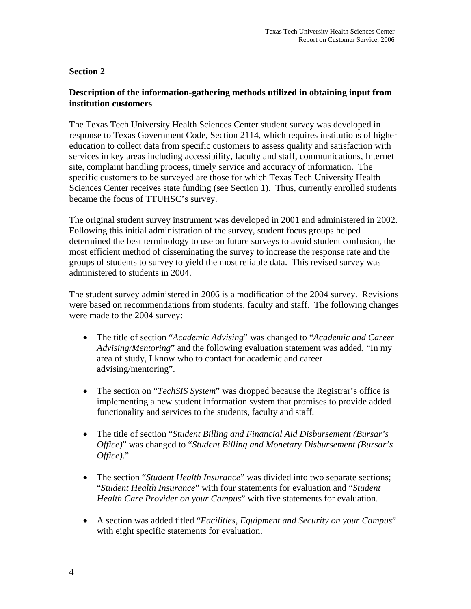### **Section 2**

### **Description of the information-gathering methods utilized in obtaining input from institution customers**

The Texas Tech University Health Sciences Center student survey was developed in response to Texas Government Code, Section 2114, which requires institutions of higher education to collect data from specific customers to assess quality and satisfaction with services in key areas including accessibility, faculty and staff, communications, Internet site, complaint handling process, timely service and accuracy of information. The specific customers to be surveyed are those for which Texas Tech University Health Sciences Center receives state funding (see Section 1). Thus, currently enrolled students became the focus of TTUHSC's survey.

The original student survey instrument was developed in 2001 and administered in 2002. Following this initial administration of the survey, student focus groups helped determined the best terminology to use on future surveys to avoid student confusion, the most efficient method of disseminating the survey to increase the response rate and the groups of students to survey to yield the most reliable data. This revised survey was administered to students in 2004.

The student survey administered in 2006 is a modification of the 2004 survey. Revisions were based on recommendations from students, faculty and staff. The following changes were made to the 2004 survey:

- The title of section "*Academic Advising*" was changed to "*Academic and Career Advising/Mentoring*" and the following evaluation statement was added, "In my area of study, I know who to contact for academic and career advising/mentoring".
- The section on "*TechSIS System*" was dropped because the Registrar's office is implementing a new student information system that promises to provide added functionality and services to the students, faculty and staff.
- The title of section "*Student Billing and Financial Aid Disbursement (Bursar's Office)*" was changed to "*Student Billing and Monetary Disbursement (Bursar's Office)*."
- The section "*Student Health Insurance*" was divided into two separate sections; "*Student Health Insurance*" with four statements for evaluation and "*Student Health Care Provider on your Campus*" with five statements for evaluation.
- A section was added titled "*Facilities, Equipment and Security on your Campus*" with eight specific statements for evaluation.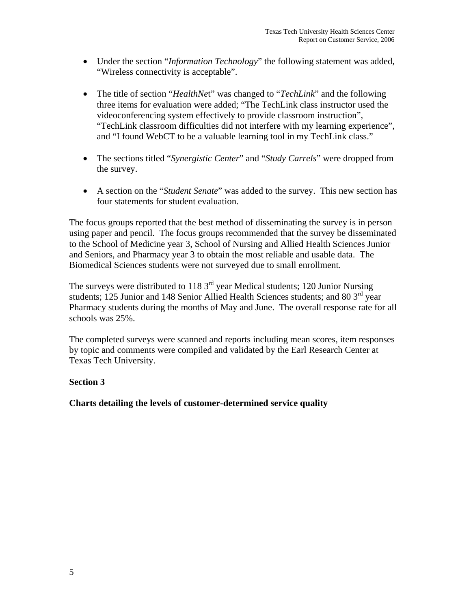- Under the section "*Information Technology*" the following statement was added, "Wireless connectivity is acceptable".
- The title of section "*HealthNe*t" was changed to "*TechLink*" and the following three items for evaluation were added; "The TechLink class instructor used the videoconferencing system effectively to provide classroom instruction", "TechLink classroom difficulties did not interfere with my learning experience", and "I found WebCT to be a valuable learning tool in my TechLink class."
- The sections titled "*Synergistic Center*" and "*Study Carrels*" were dropped from the survey.
- A section on the "*Student Senate*" was added to the survey. This new section has four statements for student evaluation.

The focus groups reported that the best method of disseminating the survey is in person using paper and pencil. The focus groups recommended that the survey be disseminated to the School of Medicine year 3, School of Nursing and Allied Health Sciences Junior and Seniors, and Pharmacy year 3 to obtain the most reliable and usable data. The Biomedical Sciences students were not surveyed due to small enrollment.

The surveys were distributed to  $118 \, 3^{rd}$  year Medical students; 120 Junior Nursing students; 125 Junior and 148 Senior Allied Health Sciences students; and 80  $3<sup>rd</sup>$  year Pharmacy students during the months of May and June. The overall response rate for all schools was 25%.

The completed surveys were scanned and reports including mean scores, item responses by topic and comments were compiled and validated by the Earl Research Center at Texas Tech University.

### **Section 3**

**Charts detailing the levels of customer-determined service quality**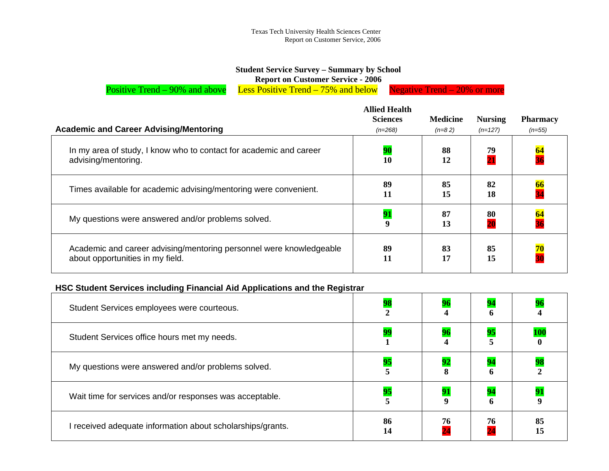### **Student Service Survey – Summary by School**

**Report on Customer Service - 2006** 

Positive Trend – 90% and above Less Positive Trend – 75% and below Negative Trend – 20% or more

| <b>Academic and Career Advising/Mentoring</b>                                                           | <b>Allied Health</b><br><b>Sciences</b><br>$(n=268)$ | <b>Medicine</b><br>$(n=82)$ | <b>Nursing</b><br>$(n=127)$ | <b>Pharmacy</b><br>$(n=55)$ |
|---------------------------------------------------------------------------------------------------------|------------------------------------------------------|-----------------------------|-----------------------------|-----------------------------|
| In my area of study, I know who to contact for academic and career<br>advising/mentoring.               | 90<br>10                                             | 88<br>12                    | 79<br>$\overline{21}$       | $\frac{64}{36}$             |
| Times available for academic advising/mentoring were convenient.                                        | 89<br>11                                             | 85<br>15                    | 82<br>18                    | <mark>66</mark><br>34       |
| My questions were answered and/or problems solved.                                                      | 91<br>9                                              | 87<br>13                    | 80<br>$\overline{20}$       | <u>64</u>                   |
| Academic and career advising/mentoring personnel were knowledgeable<br>about opportunities in my field. | 89<br>11                                             | 83<br>17                    | 85<br>15                    | $\frac{70}{30}$             |

### **HSC Student Services including Financial Aid Applications and the Registrar**

| Student Services employees were courteous.                 | 98       |    |    |            |
|------------------------------------------------------------|----------|----|----|------------|
| Student Services office hours met my needs.                | 99       |    | 95 | <b>100</b> |
| My questions were answered and/or problems solved.         | 95       | 92 | 6  |            |
| Wait time for services and/or responses was acceptable.    | 95       |    | 94 |            |
| I received adequate information about scholarships/grants. | 86<br>14 | 76 | 76 | 85<br>15   |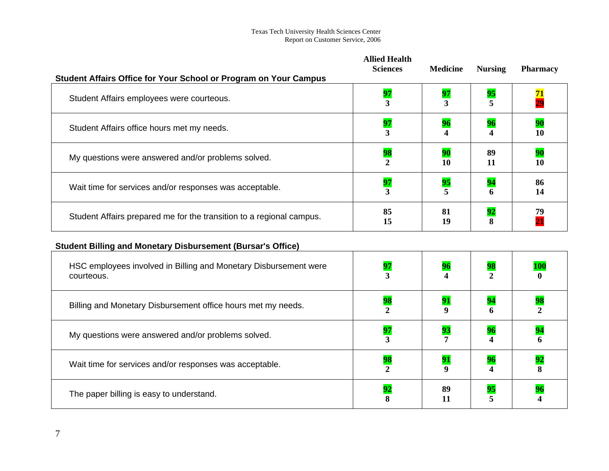| <b>Student Affairs Office for Your School or Program on Your Campus</b> | <b>Allied Health</b><br><b>Sciences</b> | <b>Medicine</b> | <b>Nursing</b> | <b>Pharmacy</b>       |
|-------------------------------------------------------------------------|-----------------------------------------|-----------------|----------------|-----------------------|
| Student Affairs employees were courteous.                               | 97                                      | 97              | 95             | $\frac{71}{29}$       |
| Student Affairs office hours met my needs.                              | 97                                      | 96              | 96             | 90<br>10              |
| My questions were answered and/or problems solved.                      | 98                                      | 90<br>10        | 89<br>11       | 90<br>10              |
| Wait time for services and/or responses was acceptable.                 | 97<br>3                                 | 95              | 94<br>6        | 86<br>14              |
| Student Affairs prepared me for the transition to a regional campus.    | 85<br>15                                | 81<br>19        | 92             | 79<br>$\overline{21}$ |

# **Student Billing and Monetary Disbursement (Bursar's Office)**

| HSC employees involved in Billing and Monetary Disbursement were<br>courteous. | 97 |          | 98      | <u> 100</u><br>0 |
|--------------------------------------------------------------------------------|----|----------|---------|------------------|
| Billing and Monetary Disbursement office hours met my needs.                   | 98 |          | 94<br>6 | 98               |
| My questions were answered and/or problems solved.                             | 97 | 93       | 96      | 94<br>6          |
| Wait time for services and/or responses was acceptable.                        | 98 |          | 96      | 92               |
| The paper billing is easy to understand.                                       | 92 | 89<br>11 | 95      | 96               |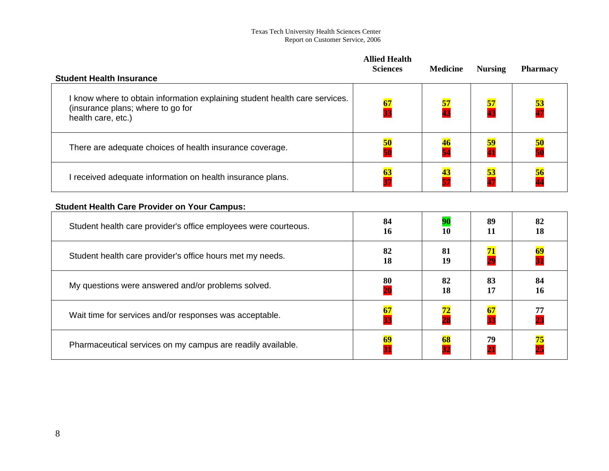|                                                                                                                                        | <b>Allied Health</b><br><b>Sciences</b> | <b>Medicine</b>       | <b>Nursing</b>           | <b>Pharmacy</b>          |
|----------------------------------------------------------------------------------------------------------------------------------------|-----------------------------------------|-----------------------|--------------------------|--------------------------|
| <b>Student Health Insurance</b>                                                                                                        |                                         |                       |                          |                          |
| I know where to obtain information explaining student health care services.<br>(insurance plans; where to go for<br>health care, etc.) | 67<br>$\overline{33}$                   | 57<br>$\overline{43}$ | <mark>57</mark><br>43    | <mark>53</mark><br>47    |
| There are adequate choices of health insurance coverage.                                                                               | 50                                      | 46                    | 59                       | 50                       |
|                                                                                                                                        | $\overline{\mathbf{50}}$                | 54                    | $\overline{\textbf{41}}$ | $\overline{\mathbf{50}}$ |
| I received adequate information on health insurance plans.                                                                             | 63                                      | 43                    | 53                       | 56                       |
|                                                                                                                                        | $\overline{37}$                         | 57                    | $\overline{47}$          | $\overline{\bf 44}$      |
| <b>Student Health Care Provider on Your Campus:</b>                                                                                    |                                         |                       |                          |                          |
| Student health care provider's office employees were courteous.                                                                        | 84                                      | 90                    | 89                       | 82                       |
|                                                                                                                                        | 16                                      | 10                    | 11                       | 18                       |
| Student health care provider's office hours met my needs.                                                                              | 82                                      | 81                    | 71                       | 69                       |
|                                                                                                                                        | 18                                      | 19                    | 29                       | $\overline{31}$          |
| My questions were answered and/or problems solved.                                                                                     | 80                                      | 82                    | 83                       | 84                       |
|                                                                                                                                        | 20                                      | 18                    | 17                       | 16                       |
| Wait time for services and/or responses was acceptable.                                                                                | 67                                      | 72                    | 67                       | 77                       |
|                                                                                                                                        | 33                                      | 28                    | 33                       | 23                       |
| Pharmaceutical services on my campus are readily available.                                                                            | 69                                      | 68                    | 79<br>$\overline{21}$    | 75<br>$\overline{25}$    |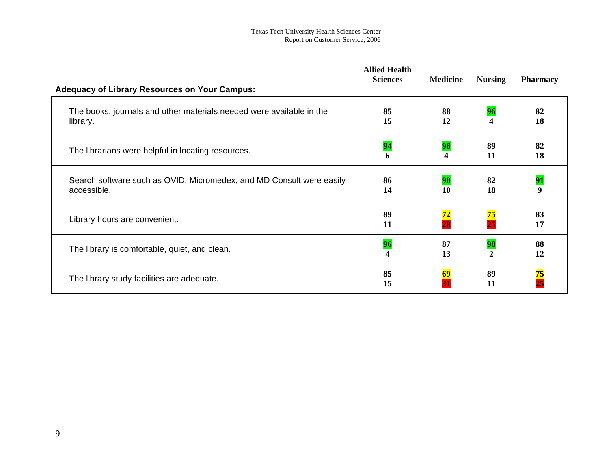| <b>Adequacy of Library Resources on Your Campus:</b>                                | <b>Allied Health</b><br><b>Sciences</b> | <b>Medicine</b>             | <b>Nursing</b>             | <b>Pharmacy</b>        |
|-------------------------------------------------------------------------------------|-----------------------------------------|-----------------------------|----------------------------|------------------------|
| The books, journals and other materials needed were available in the<br>library.    | 85<br>15                                | 88<br>12                    | 96<br>4                    | 82<br>18               |
| The librarians were helpful in locating resources.                                  | 94<br>6                                 | 96<br>$\boldsymbol{\Delta}$ | 89<br>11                   | 82<br>18               |
| Search software such as OVID, Micromedex, and MD Consult were easily<br>accessible. | 86<br>14                                | <b>90</b><br>10             | 82<br>18                   | 91<br>$\boldsymbol{9}$ |
| Library hours are convenient.                                                       | 89<br>11                                | 72<br>$\overline{28}$       | $\frac{75}{25}$            | 83<br>17               |
| The library is comfortable, quiet, and clean.                                       | 96                                      | 87<br>13                    | <b>98</b><br>$\mathcal{D}$ | 88<br>12               |
| The library study facilities are adequate.                                          | 85<br>15                                | 69                          | 89<br>11                   | 75                     |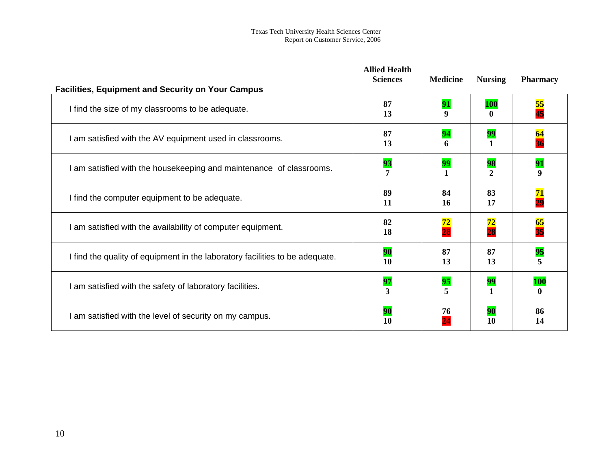|                                                                              | <b>Allied Health</b><br><b>Sciences</b> | <b>Medicine</b> | <b>Nursing</b>                    | <b>Pharmacy</b> |
|------------------------------------------------------------------------------|-----------------------------------------|-----------------|-----------------------------------|-----------------|
| <b>Facilities, Equipment and Security on Your Campus</b>                     |                                         |                 |                                   |                 |
| I find the size of my classrooms to be adequate.                             | 87<br>13                                | 91<br>9         | <b>100</b>                        | 55<br>45        |
| I am satisfied with the AV equipment used in classrooms.                     | 87<br>13                                | 94<br>6         | 99                                | 64              |
| I am satisfied with the housekeeping and maintenance of classrooms.          | 93                                      | 99              | 98<br>$\mathcal{D}_{\mathcal{L}}$ | 91<br>9         |
| I find the computer equipment to be adequate.                                | 89<br>11                                | 84<br><b>16</b> | 83<br>17                          | 71<br>29        |
| I am satisfied with the availability of computer equipment.                  | 82<br>18                                | 72<br>28        | 72<br>28                          | 65<br>35        |
| I find the quality of equipment in the laboratory facilities to be adequate. | 90<br>10                                | 87<br>13        | 87<br>13                          | 95              |
| I am satisfied with the safety of laboratory facilities.                     | 97<br>3                                 | 95              | 99                                | <b>100</b>      |
| I am satisfied with the level of security on my campus.                      | 90<br>10                                | 76              | 90<br>10                          | 86<br>14        |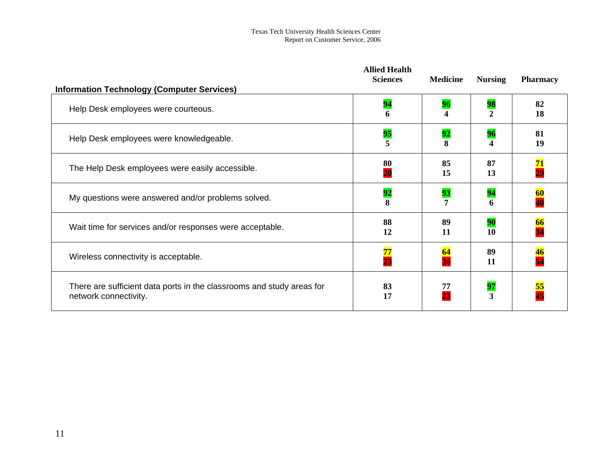|                                                                                                | <b>Allied Health</b><br><b>Sciences</b> | <b>Medicine</b>        | <b>Nursing</b>     | <b>Pharmacy</b> |
|------------------------------------------------------------------------------------------------|-----------------------------------------|------------------------|--------------------|-----------------|
| <b>Information Technology (Computer Services)</b>                                              |                                         |                        |                    |                 |
| Help Desk employees were courteous.                                                            | 94<br>6                                 | 96<br>$\boldsymbol{4}$ | 98<br>$\mathbf{2}$ | 82<br>18        |
| Help Desk employees were knowledgeable.                                                        | $\frac{95}{5}$                          | 92<br>8                | 96<br>4            | 81<br>19        |
| The Help Desk employees were easily accessible.                                                | 80<br>20                                | 85<br>15               | 87<br>13           | 71<br>29        |
| My questions were answered and/or problems solved.                                             | 92<br>8                                 | 93                     | 94<br>6            | 60              |
| Wait time for services and/or responses were acceptable.                                       | 88<br>12                                | 89<br>11               | 90<br>10           | 66              |
| Wireless connectivity is acceptable.                                                           | 77<br>$\overline{23}$                   | 64                     | 89<br>11           | 46              |
| There are sufficient data ports in the classrooms and study areas for<br>network connectivity. | 83<br>17                                | 77<br>23               | 97<br>3            | 55              |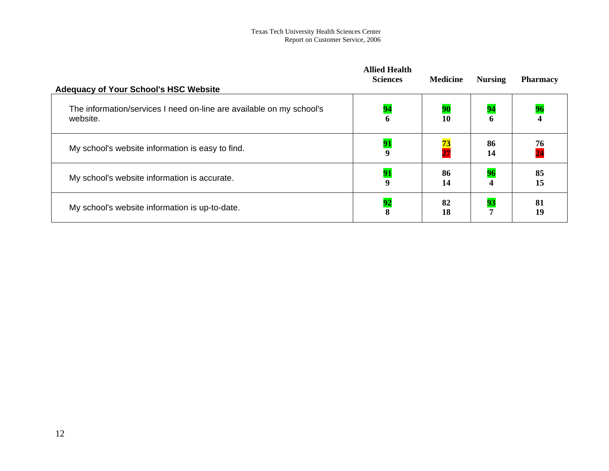| <b>Adequacy of Your School's HSC Website</b>                         | <b>Allied Health</b><br><b>Sciences</b> | <b>Medicine</b> | <b>Nursing</b>   | <b>Pharmacy</b>         |
|----------------------------------------------------------------------|-----------------------------------------|-----------------|------------------|-------------------------|
| The information/services I need on-line are available on my school's | 94                                      | 90              | 94               | 96                      |
| website.                                                             | 6                                       | 10              | 6                | $\overline{\mathbf{4}}$ |
| My school's website information is easy to find.                     | 91<br>$\boldsymbol{9}$                  | $\frac{73}{27}$ | 86<br>14         | $\frac{76}{24}$         |
| My school's website information is accurate.                         | 91                                      | 86              | 96               | 85                      |
|                                                                      | $\boldsymbol{9}$                        | 14              | $\boldsymbol{4}$ | 15                      |
| My school's website information is up-to-date.                       | 92                                      | 82              | 93               | 81                      |
|                                                                      | 8                                       | 18              | 7                | 19                      |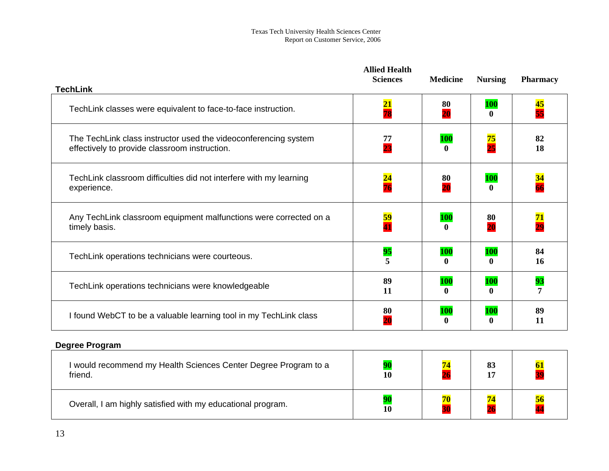|                                                                                                                  | <b>Allied Health</b><br><b>Sciences</b> | <b>Medicine</b>            | <b>Nursing</b>             | <b>Pharmacy</b>           |
|------------------------------------------------------------------------------------------------------------------|-----------------------------------------|----------------------------|----------------------------|---------------------------|
| <b>TechLink</b>                                                                                                  |                                         |                            |                            |                           |
| TechLink classes were equivalent to face-to-face instruction.                                                    | $\overline{21}$<br>78                   | 80<br>20                   | <b>100</b><br>$\mathbf{0}$ | $\overline{\bf 45}$<br>55 |
| The TechLink class instructor used the videoconferencing system<br>effectively to provide classroom instruction. | 77<br>23                                | <b>100</b><br>0            | $\frac{75}{25}$            | 82<br>18                  |
| TechLink classroom difficulties did not interfere with my learning<br>experience.                                | $\frac{24}{76}$                         | 80<br>$\overline{20}$      | <b>100</b><br>$\mathbf{0}$ | 34                        |
| Any TechLink classroom equipment malfunctions were corrected on a<br>timely basis.                               | <mark>59</mark><br>41                   | <b>100</b><br>$\mathbf{0}$ | 80<br>20                   | <b>71</b><br>29           |
| TechLink operations technicians were courteous.                                                                  | 95                                      | <b>100</b><br>0            | <b>100</b><br>$\mathbf{0}$ | 84<br>16                  |
| TechLink operations technicians were knowledgeable                                                               | 89<br>11                                | <b>100</b><br>0            | <b>100</b><br>$\mathbf{0}$ | 93                        |
| I found WebCT to be a valuable learning tool in my TechLink class                                                | 80                                      | <b>100</b><br>$\mathbf{0}$ | <b>100</b><br>$\mathbf{0}$ | 89<br>11                  |

## **Degree Program**

| would recommend my Health Sciences Center Degree Program to a<br>friend. | 10 | 83<br>17 |  |
|--------------------------------------------------------------------------|----|----------|--|
| Overall, I am highly satisfied with my educational program.              | 10 |          |  |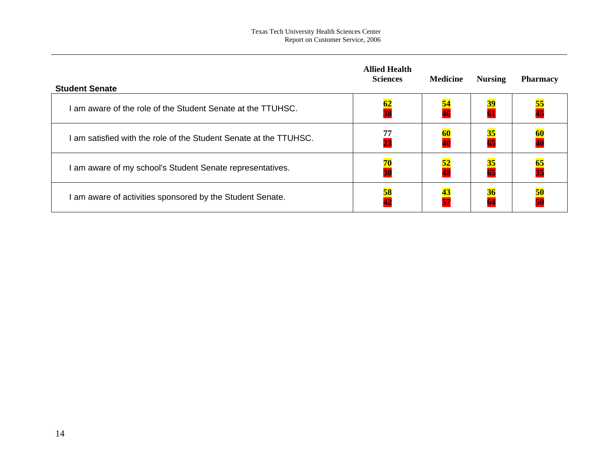| <b>Student Senate</b>                                           | <b>Allied Health</b><br><b>Sciences</b> | <b>Medicine</b>       | <b>Nursing</b>  | <b>Pharmacy</b> |
|-----------------------------------------------------------------|-----------------------------------------|-----------------------|-----------------|-----------------|
| am aware of the role of the Student Senate at the TTUHSC.       | $\frac{62}{38}$                         | <mark>54</mark><br>46 | $\frac{39}{61}$ | $\frac{55}{45}$ |
| am satisfied with the role of the Student Senate at the TTUHSC. | $\frac{77}{23}$                         | <b>60</b>             | $\frac{35}{65}$ | $\frac{60}{40}$ |
| am aware of my school's Student Senate representatives.         | $\frac{70}{30}$                         | <u>52</u>             | $\frac{35}{65}$ | $\frac{65}{35}$ |
| am aware of activities sponsored by the Student Senate.         | 58<br>42                                | 43<br>57              | $\frac{36}{64}$ | $\frac{50}{50}$ |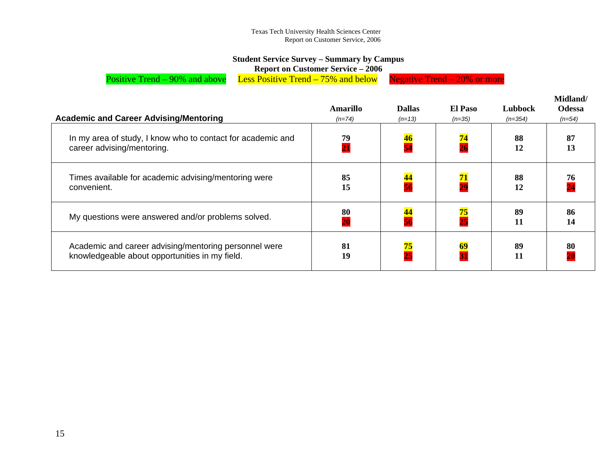### **Student Service Survey – Summary by Campus**

**Report on Customer Service – 2006** 

Positive Trend – 90% and above Less Positive Trend – 75% and below Negative Trend – 20% or more

|                                                                                                         | Amarillo              | <b>Dallas</b>   | El Paso         | Lubbock   | Midland/<br><b>Odessa</b> |
|---------------------------------------------------------------------------------------------------------|-----------------------|-----------------|-----------------|-----------|---------------------------|
| <b>Academic and Career Advising/Mentoring</b>                                                           | $(n=74)$              | $(n=13)$        | $(n=35)$        | $(n=354)$ | $(n=54)$                  |
| In my area of study, I know who to contact for academic and<br>career advising/mentoring.               | 79<br>$\overline{21}$ | $\frac{46}{54}$ | $\frac{74}{26}$ | 88<br>12  | 87<br>13                  |
| Times available for academic advising/mentoring were<br>convenient.                                     | 85<br>15              | 44              | $\frac{71}{29}$ | 88<br>12  | 76                        |
| My questions were answered and/or problems solved.                                                      | $\frac{80}{20}$       | <mark>44</mark> | $\frac{75}{25}$ | 89<br>11  | 86<br>14                  |
| Academic and career advising/mentoring personnel were<br>knowledgeable about opportunities in my field. | 81<br>19              | $\frac{75}{25}$ | 69<br>31        | 89<br>11  | 80                        |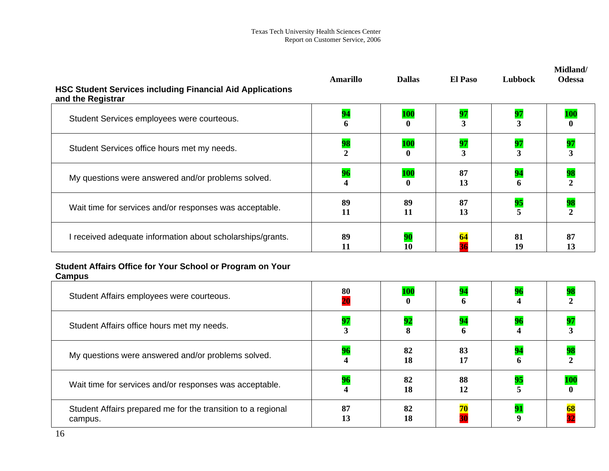| <b>HSC Student Services including Financial Aid Applications</b><br>and the Registrar | Amarillo             | <b>Dallas</b>              | <b>El Paso</b> | Lubbock  | Midland/<br><b>Odessa</b> |
|---------------------------------------------------------------------------------------|----------------------|----------------------------|----------------|----------|---------------------------|
| Student Services employees were courteous.                                            | 94<br>6              | <b>100</b>                 | 97             | 97       |                           |
| Student Services office hours met my needs.                                           | 98<br>$\overline{2}$ | <b>100</b>                 | 97<br>3        | 97<br>3  | 97                        |
| My questions were answered and/or problems solved.                                    | 96                   | <b>100</b><br>$\mathbf{0}$ | 87<br>13       | 94<br>6  | 98                        |
| Wait time for services and/or responses was acceptable.                               | 89<br>11             | 89<br>11                   | 87<br>13       | 95       |                           |
| I received adequate information about scholarships/grants.                            | 89<br>11             | 10                         | 64             | 81<br>19 | 87<br>13                  |

### **Student Affairs Office for Your School or Program on Your Campus**

| Student Affairs employees were courteous.                               | 80       | <b>100</b><br>$\mathbf{0}$ | 94              |    |            |
|-------------------------------------------------------------------------|----------|----------------------------|-----------------|----|------------|
| Student Affairs office hours met my needs.                              |          | 92                         | 94              |    |            |
| My questions were answered and/or problems solved.                      |          | 82<br>18                   | 83<br>17        |    |            |
| Wait time for services and/or responses was acceptable.                 |          | 82<br>18                   | 88<br>12        | 95 | <b>100</b> |
| Student Affairs prepared me for the transition to a regional<br>campus. | 87<br>13 | 82<br>18                   | $\frac{70}{20}$ |    |            |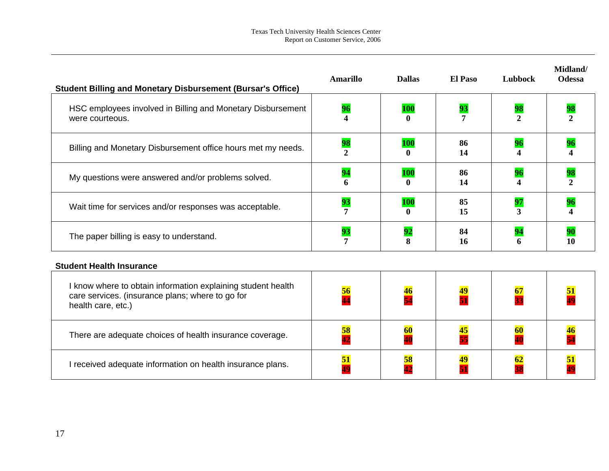| <b>Student Billing and Monetary Disbursement (Bursar's Office)</b>                                                                     | <b>Amarillo</b> | <b>Dallas</b>   | <b>El Paso</b>                 | Lubbock              | Midland/<br><b>Odessa</b> |
|----------------------------------------------------------------------------------------------------------------------------------------|-----------------|-----------------|--------------------------------|----------------------|---------------------------|
| HSC employees involved in Billing and Monetary Disbursement<br>were courteous.                                                         | 96              | <b>100</b>      | 93<br>7                        | 98<br>$\mathfrak{D}$ | 98<br>2                   |
| Billing and Monetary Disbursement office hours met my needs.                                                                           | 98<br>2         | <b>100</b><br>0 | 86<br>14                       | 96                   | 96                        |
| My questions were answered and/or problems solved.                                                                                     | 94              | <b>100</b><br>0 | 86<br>14                       | 96                   | 98                        |
| Wait time for services and/or responses was acceptable.                                                                                | 93              | <b>100</b><br>0 | 85<br>15                       | 97<br>3              | 96                        |
| The paper billing is easy to understand.                                                                                               | 93<br>7         | 92<br>8         | 84<br>16                       | 94<br>6              | 90<br>10                  |
| <b>Student Health Insurance</b>                                                                                                        |                 |                 |                                |                      |                           |
| I know where to obtain information explaining student health<br>care services. (insurance plans; where to go for<br>health care, etc.) | $\frac{56}{44}$ | 46<br>54        | 51                             | $\frac{67}{33}$      |                           |
| There are adequate choices of health insurance coverage.                                                                               | 58<br>42        | 60<br>40        | 45<br>$\overline{\mathbf{55}}$ | 60<br>40             | 46                        |
| I received adequate information on health insurance plans.                                                                             | 51<br>49        | 58<br>42        | 49<br>51                       | 62                   | 51                        |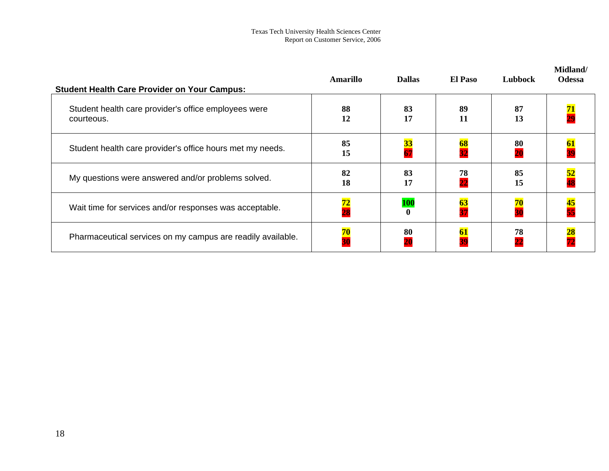| <b>Student Health Care Provider on Your Campus:</b>                | Amarillo              | <b>Dallas</b>                | <b>El Paso</b>  | Lubbock               | Midland/<br><b>Odessa</b> |
|--------------------------------------------------------------------|-----------------------|------------------------------|-----------------|-----------------------|---------------------------|
| Student health care provider's office employees were<br>courteous. | 88<br>12              | 83<br>17                     | 89<br>11        | 87<br>13              |                           |
| Student health care provider's office hours met my needs.          | 85<br>15              | <b>33</b><br>$\overline{67}$ | 68              | 80<br>$\overline{20}$ |                           |
| My questions were answered and/or problems solved.                 | 82<br>18              | 83<br>17                     | $\frac{78}{22}$ | 85<br>15              |                           |
| Wait time for services and/or responses was acceptable.            | $\frac{72}{28}$       | <b>100</b><br>$\mathbf{0}$   | $\frac{63}{37}$ | $\frac{70}{30}$       | 45<br>55                  |
| Pharmaceutical services on my campus are readily available.        | 70<br>$\overline{30}$ | 80                           | 61              | 78<br>$\overline{22}$ |                           |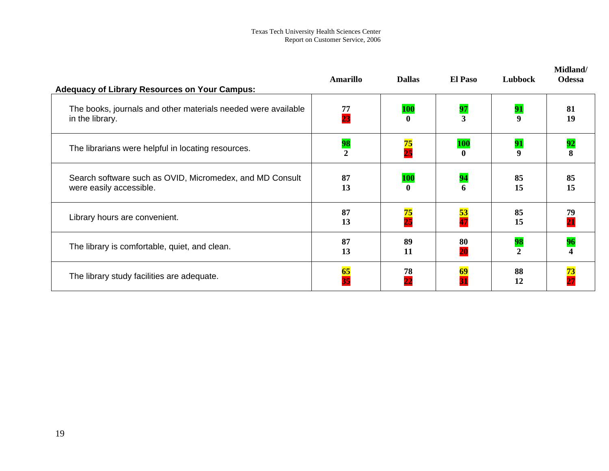| <b>Adequacy of Library Resources on Your Campus:</b>                                | <b>Amarillo</b> | <b>Dallas</b>              | <b>El Paso</b>        | Lubbock                | Midland/<br><b>Odessa</b> |
|-------------------------------------------------------------------------------------|-----------------|----------------------------|-----------------------|------------------------|---------------------------|
| The books, journals and other materials needed were available<br>in the library.    | 77<br>23        | <b>100</b><br>0            | $\frac{97}{3}$        | 91<br>$\boldsymbol{9}$ | 81<br>19                  |
| The librarians were helpful in locating resources.                                  | $\frac{98}{2}$  | $\frac{75}{25}$            | <b>100</b>            | 91<br>9                | 92                        |
| Search software such as OVID, Micromedex, and MD Consult<br>were easily accessible. | 87<br>13        | <b>100</b><br>$\mathbf{0}$ | 94<br>6               | 85<br>15               | 85<br>15                  |
| Library hours are convenient.                                                       | 87<br>13        | 75<br>$\overline{25}$      | $\frac{53}{47}$       | 85<br>15               | 79<br>$\overline{21}$     |
| The library is comfortable, quiet, and clean.                                       | 87<br>13        | 89<br>11                   | 80<br>$\overline{20}$ | 98<br>$\mathcal{L}$    | 96                        |
| The library study facilities are adequate.                                          | $\frac{65}{35}$ | 78<br>$\overline{22}$      | 69                    | 88<br>12               | 73                        |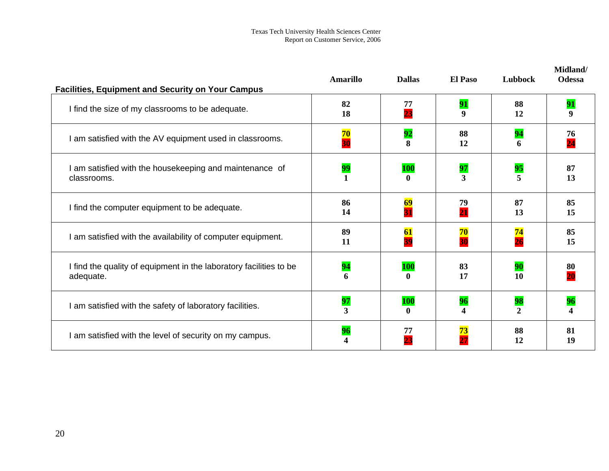| <b>Facilities, Equipment and Security on Your Campus</b>               | <b>Amarillo</b> | <b>Dallas</b>   | <b>El Paso</b>              | Lubbock                       | Midland/<br><b>Odessa</b> |
|------------------------------------------------------------------------|-----------------|-----------------|-----------------------------|-------------------------------|---------------------------|
| I find the size of my classrooms to be adequate.                       | 82              | 77              | 91                          | 88                            | 91                        |
|                                                                        | 18              | 23              | 9                           | 12                            | 9                         |
| I am satisfied with the AV equipment used in classrooms.               | 70              | 92              | 88                          | 94                            | 76                        |
|                                                                        | $\overline{30}$ | 8               | 12                          | 6                             | $\overline{24}$           |
| I am satisfied with the housekeeping and maintenance of<br>classrooms. | 99              | <b>100</b><br>0 | $\frac{97}{3}$              | 95<br>$\overline{\mathbf{5}}$ | 87<br>13                  |
| I find the computer equipment to be adequate.                          | 86              | 69              | 79                          | 87                            | 85                        |
|                                                                        | 14              | 31              | $\overline{21}$             | 13                            | 15                        |
| I am satisfied with the availability of computer equipment.            | 89              | 61              | 70                          | 74                            | 85                        |
|                                                                        | 11              | 39              | $\overline{30}$             | $\overline{26}$               | 15                        |
| I find the quality of equipment in the laboratory facilities to be     | 94              | <b>100</b>      | 83                          | 90                            | 80                        |
| adequate.                                                              | 6               | 0               | 17                          | 10                            | 20                        |
| I am satisfied with the safety of laboratory facilities.               | 97<br>3         | <b>100</b><br>0 | 96<br>$\boldsymbol{\Delta}$ | 98<br>$\mathbf{2}$            | 96                        |
| I am satisfied with the level of security on my campus.                | 96              | 77              | 73<br>$\overline{27}$       | 88<br>12                      | 81<br>19                  |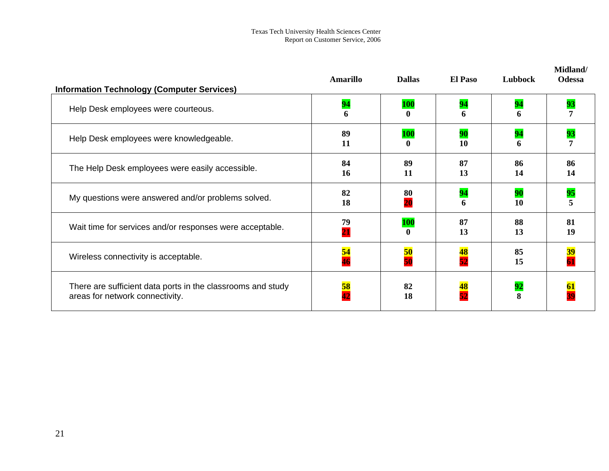| <b>Information Technology (Computer Services)</b>                                              | <b>Amarillo</b>       | <b>Dallas</b> | <b>El Paso</b> | Lubbock  | Midland/<br><b>Odessa</b> |
|------------------------------------------------------------------------------------------------|-----------------------|---------------|----------------|----------|---------------------------|
| Help Desk employees were courteous.                                                            | 94<br>6               | <b>100</b>    | 94<br>6        | 94<br>6  | 93                        |
| Help Desk employees were knowledgeable.                                                        | 89<br>11              | <b>100</b>    | 90<br>10       | 94<br>6  |                           |
| The Help Desk employees were easily accessible.                                                | 84<br>16              | 89<br>11      | 87<br>13       | 86<br>14 | 86<br>14                  |
| My questions were answered and/or problems solved.                                             | 82<br>18              | 80<br>20      | 94<br>6        | 90<br>10 | 95                        |
| Wait time for services and/or responses were acceptable.                                       | 79<br>$\overline{21}$ | <b>100</b>    | 87<br>13       | 88<br>13 | 81<br>19                  |
| Wireless connectivity is acceptable.                                                           | <mark>54</mark><br>46 | 50            | 48<br>52       | 85<br>15 |                           |
| There are sufficient data ports in the classrooms and study<br>areas for network connectivity. | 58<br>42              | 82<br>18      |                | 92<br>8  |                           |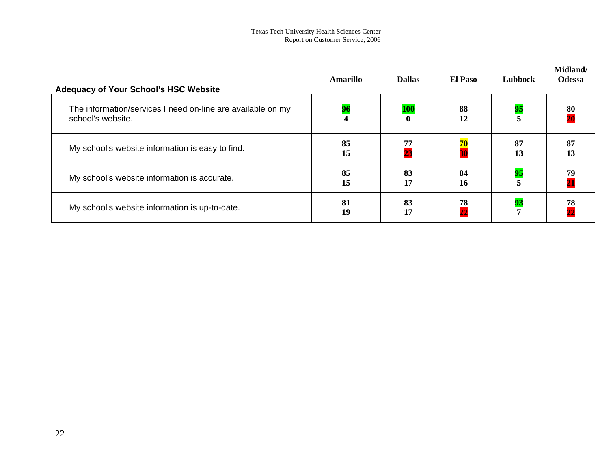| <b>Adequacy of Your School's HSC Website</b>                                     | Amarillo                      | <b>Dallas</b> | El Paso         | Lubbock  | Midland/<br><b>Odessa</b> |
|----------------------------------------------------------------------------------|-------------------------------|---------------|-----------------|----------|---------------------------|
| The information/services I need on-line are available on my<br>school's website. | 96<br>$\overline{\mathbf{4}}$ | <b>100</b>    | 88<br>12        | 95       | 80                        |
| My school's website information is easy to find.                                 | 85<br>15                      | 77<br>23      | $\frac{70}{30}$ | 87<br>13 | 87<br>13                  |
| My school's website information is accurate.                                     | 85<br>15                      | 83<br>17      | 84<br>16        | 95       | 79                        |
| My school's website information is up-to-date.                                   | 81<br>19                      | 83<br>17      | $\frac{78}{22}$ | 93       | 78<br>22                  |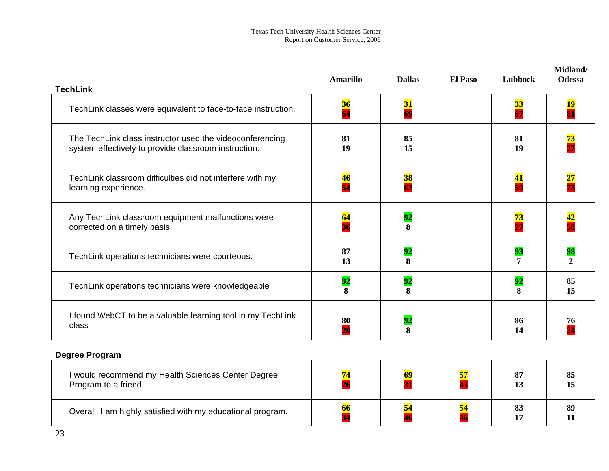| <b>TechLink</b>                                                                                                  | <b>Amarillo</b>       | <b>Dallas</b>                 | <b>El Paso</b> | Lubbock               | Midland/<br><b>Odessa</b>             |
|------------------------------------------------------------------------------------------------------------------|-----------------------|-------------------------------|----------------|-----------------------|---------------------------------------|
| TechLink classes were equivalent to face-to-face instruction.                                                    | 36<br>$\overline{64}$ | 31<br>69                      |                | $\frac{33}{67}$       | <b>19</b><br>$\overline{\mathbf{81}}$ |
| The TechLink class instructor used the videoconferencing<br>system effectively to provide classroom instruction. | 81<br>19              | 85<br>15                      |                | 81<br>19              | $\frac{73}{27}$                       |
| TechLink classroom difficulties did not interfere with my<br>learning experience.                                | <mark>46</mark><br>54 | $\frac{38}{62}$               |                | 41<br>59              | $\frac{27}{73}$                       |
| Any TechLink classroom equipment malfunctions were<br>corrected on a timely basis.                               | 64<br>$\overline{36}$ | 92<br>8                       |                | 73<br>$\overline{27}$ | 42<br>58                              |
| TechLink operations technicians were courteous.                                                                  | 87<br>13              | 92<br>8                       |                | 93<br>7               | 98<br>$\overline{2}$                  |
| TechLink operations technicians were knowledgeable                                                               | 92<br>8               | 92<br>$\overline{\mathbf{8}}$ |                | 92<br>8               | 85<br>15                              |
| I found WebCT to be a valuable learning tool in my TechLink<br>class                                             | 80<br>$\overline{20}$ | 92<br>8                       |                | 86<br>14              | 76<br>$\overline{24}$                 |
| <b>Degree Program</b>                                                                                            |                       |                               |                |                       |                                       |
| I would recommend my Health Sciences Center Degree<br>Program to a friend.                                       | 74<br>$\overline{26}$ | 69<br>31                      | 57<br>43       | 87<br>13              | 85<br>15                              |
| Overall, I am highly satisfied with my educational program.                                                      | 66<br>$\overline{34}$ | 54                            | 54             | 83<br>17              | 89<br>11                              |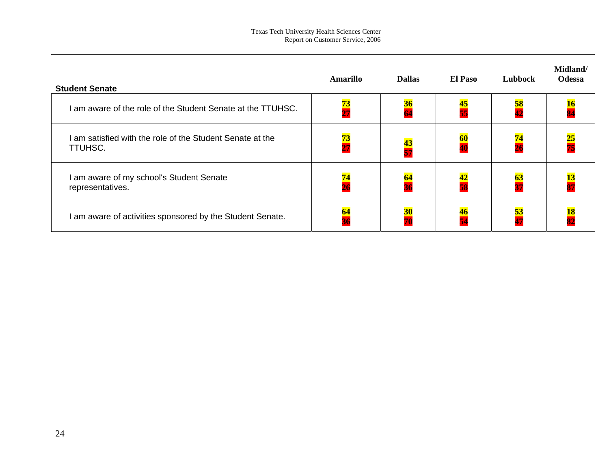| <b>Student Senate</b>                                              | <b>Amarillo</b> | <b>Dallas</b>   | <b>El Paso</b>  | Lubbock         | Midland/<br><b>Odessa</b> |
|--------------------------------------------------------------------|-----------------|-----------------|-----------------|-----------------|---------------------------|
| am aware of the role of the Student Senate at the TTUHSC.          | $\frac{73}{27}$ | <b>36</b>       | 45<br>55        | <b>58</b>       |                           |
| am satisfied with the role of the Student Senate at the<br>TTUHSC. | $\frac{73}{27}$ | $\frac{43}{57}$ | $\frac{60}{40}$ | $\frac{74}{2}$  | $\frac{25}{75}$           |
| am aware of my school's Student Senate<br>representatives.         | $\frac{74}{26}$ | $\frac{64}{36}$ | 42<br>58        | $\frac{63}{37}$ |                           |
| I am aware of activities sponsored by the Student Senate.          | $\frac{64}{36}$ | <b>30</b>       | $\frac{46}{54}$ | $\frac{53}{47}$ |                           |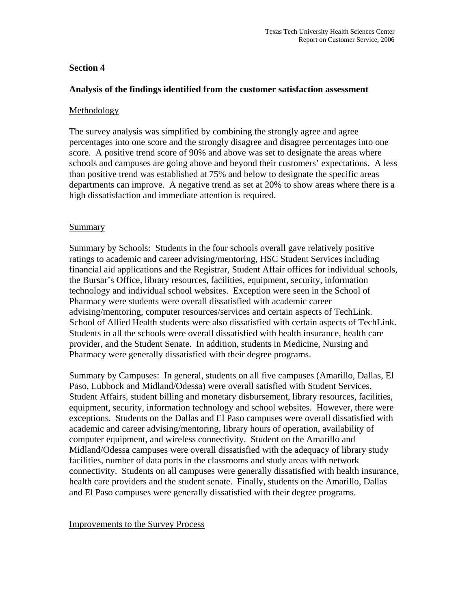### **Section 4**

### **Analysis of the findings identified from the customer satisfaction assessment**

### Methodology

The survey analysis was simplified by combining the strongly agree and agree percentages into one score and the strongly disagree and disagree percentages into one score. A positive trend score of 90% and above was set to designate the areas where schools and campuses are going above and beyond their customers' expectations. A less than positive trend was established at 75% and below to designate the specific areas departments can improve. A negative trend as set at 20% to show areas where there is a high dissatisfaction and immediate attention is required.

### Summary

Summary by Schools: Students in the four schools overall gave relatively positive ratings to academic and career advising/mentoring, HSC Student Services including financial aid applications and the Registrar, Student Affair offices for individual schools, the Bursar's Office, library resources, facilities, equipment, security, information technology and individual school websites. Exception were seen in the School of Pharmacy were students were overall dissatisfied with academic career advising/mentoring, computer resources/services and certain aspects of TechLink. School of Allied Health students were also dissatisfied with certain aspects of TechLink. Students in all the schools were overall dissatisfied with health insurance, health care provider, and the Student Senate. In addition, students in Medicine, Nursing and Pharmacy were generally dissatisfied with their degree programs.

Summary by Campuses: In general, students on all five campuses (Amarillo, Dallas, El Paso, Lubbock and Midland/Odessa) were overall satisfied with Student Services, Student Affairs, student billing and monetary disbursement, library resources, facilities, equipment, security, information technology and school websites. However, there were exceptions. Students on the Dallas and El Paso campuses were overall dissatisfied with academic and career advising/mentoring, library hours of operation, availability of computer equipment, and wireless connectivity. Student on the Amarillo and Midland/Odessa campuses were overall dissatisfied with the adequacy of library study facilities, number of data ports in the classrooms and study areas with network connectivity. Students on all campuses were generally dissatisfied with health insurance, health care providers and the student senate. Finally, students on the Amarillo, Dallas and El Paso campuses were generally dissatisfied with their degree programs.

### Improvements to the Survey Process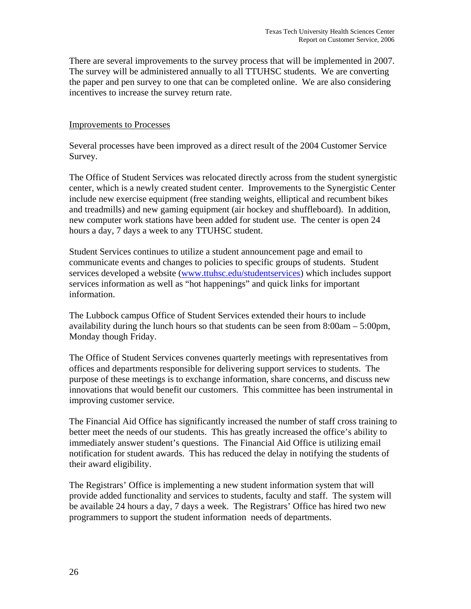There are several improvements to the survey process that will be implemented in 2007. The survey will be administered annually to all TTUHSC students. We are converting the paper and pen survey to one that can be completed online. We are also considering incentives to increase the survey return rate.

### Improvements to Processes

Several processes have been improved as a direct result of the 2004 Customer Service Survey.

The Office of Student Services was relocated directly across from the student synergistic center, which is a newly created student center. Improvements to the Synergistic Center include new exercise equipment (free standing weights, elliptical and recumbent bikes and treadmills) and new gaming equipment (air hockey and shuffleboard). In addition, new computer work stations have been added for student use. The center is open 24 hours a day, 7 days a week to any TTUHSC student.

Student Services continues to utilize a student announcement page and email to communicate events and changes to policies to specific groups of students. Student services developed a website (www.ttuhsc.edu/studentservices) which includes support services information as well as "hot happenings" and quick links for important information.

The Lubbock campus Office of Student Services extended their hours to include availability during the lunch hours so that students can be seen from 8:00am – 5:00pm, Monday though Friday.

The Office of Student Services convenes quarterly meetings with representatives from offices and departments responsible for delivering support services to students. The purpose of these meetings is to exchange information, share concerns, and discuss new innovations that would benefit our customers. This committee has been instrumental in improving customer service.

The Financial Aid Office has significantly increased the number of staff cross training to better meet the needs of our students. This has greatly increased the office's ability to immediately answer student's questions. The Financial Aid Office is utilizing email notification for student awards. This has reduced the delay in notifying the students of their award eligibility.

The Registrars' Office is implementing a new student information system that will provide added functionality and services to students, faculty and staff. The system will be available 24 hours a day, 7 days a week. The Registrars' Office has hired two new programmers to support the student information needs of departments.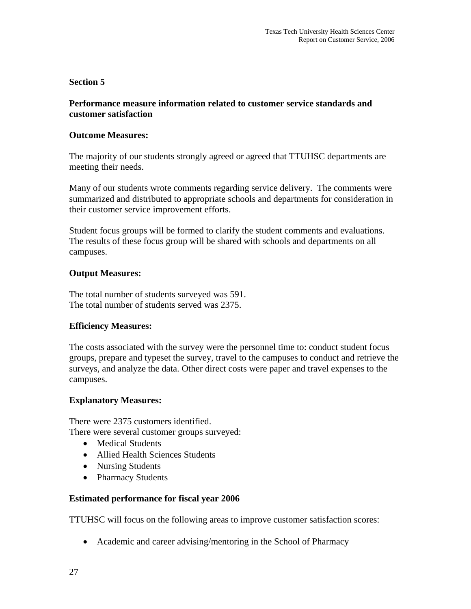### **Section 5**

### **Performance measure information related to customer service standards and customer satisfaction**

### **Outcome Measures:**

The majority of our students strongly agreed or agreed that TTUHSC departments are meeting their needs.

Many of our students wrote comments regarding service delivery. The comments were summarized and distributed to appropriate schools and departments for consideration in their customer service improvement efforts.

Student focus groups will be formed to clarify the student comments and evaluations. The results of these focus group will be shared with schools and departments on all campuses.

### **Output Measures:**

The total number of students surveyed was 591. The total number of students served was 2375.

### **Efficiency Measures:**

The costs associated with the survey were the personnel time to: conduct student focus groups, prepare and typeset the survey, travel to the campuses to conduct and retrieve the surveys, and analyze the data. Other direct costs were paper and travel expenses to the campuses.

### **Explanatory Measures:**

There were 2375 customers identified. There were several customer groups surveyed:

- Medical Students
- Allied Health Sciences Students
- Nursing Students
- Pharmacy Students

### **Estimated performance for fiscal year 2006**

TTUHSC will focus on the following areas to improve customer satisfaction scores:

• Academic and career advising/mentoring in the School of Pharmacy